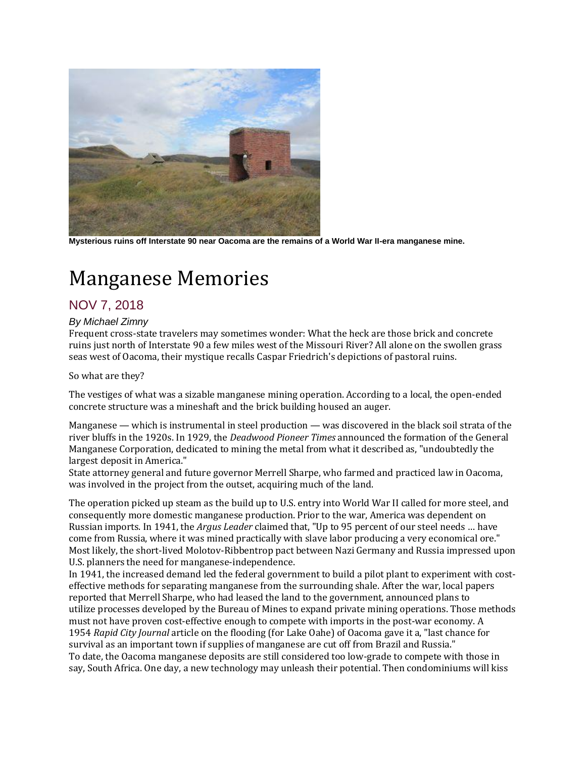

**Mysterious ruins off Interstate 90 near Oacoma are the remains of a World War II-era manganese mine.**

## Manganese Memories

## NOV 7, 2018

## *By Michael Zimny*

Frequent cross-state travelers may sometimes wonder: What the heck are those brick and concrete ruins just north of Interstate 90 a few miles west of the Missouri River? All alone on the swollen grass seas west of Oacoma, their mystique recalls Caspar Friedrich's depictions of pastoral ruins.

So what are they?

The vestiges of what was a sizable manganese mining operation. According to a local, the open-ended concrete structure was a mineshaft and the brick building housed an auger.

Manganese — which is instrumental in steel production — was discovered in the black soil strata of the river bluffs in the 1920s. In 1929, the *Deadwood Pioneer Times* announced the formation of the General Manganese Corporation, dedicated to mining the metal from what it described as, "undoubtedly the largest deposit in America."

State attorney general and future governor Merrell Sharpe, who farmed and practiced law in Oacoma, was involved in the project from the outset, acquiring much of the land.

The operation picked up steam as the build up to U.S. entry into World War II called for more steel, and consequently more domestic manganese production. Prior to the war, America was dependent on Russian imports. In 1941, the *Argus Leader* claimed that, "Up to 95 percent of our steel needs … have come from Russia, where it was mined practically with slave labor producing a very economical ore." Most likely, the short-lived Molotov-Ribbentrop pact between Nazi Germany and Russia impressed upon U.S. planners the need for manganese-independence.

In 1941, the increased demand led the federal government to build a pilot plant to experiment with costeffective methods for separating manganese from the surrounding shale. After the war, local papers reported that Merrell Sharpe, who had leased the land to the government, announced plans to utilize processes developed by the Bureau of Mines to expand private mining operations. Those methods must not have proven cost-effective enough to compete with imports in the post-war economy. A 1954 *Rapid City Journal* article on the flooding (for Lake Oahe) of Oacoma gave it a, "last chance for survival as an important town if supplies of manganese are cut off from Brazil and Russia." To date, the Oacoma manganese deposits are still considered too low-grade to compete with those in say, South Africa. One day, a new technology may unleash their potential. Then condominiums will kiss